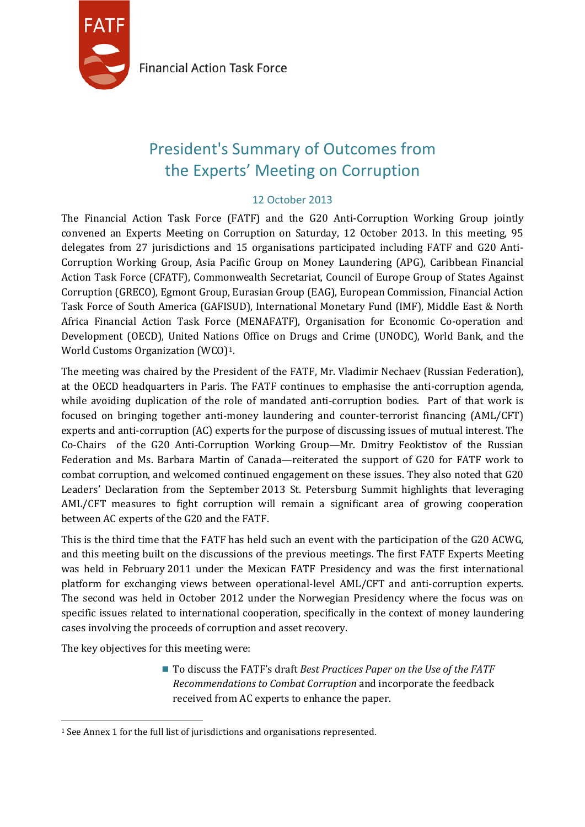

**Financial Action Task Force** 

# President's Summary of Outcomes from the Experts' Meeting on Corruption

## 12 October 2013

The Financial Action Task Force (FATF) and the G20 Anti-Corruption Working Group jointly convened an Experts Meeting on Corruption on Saturday, 12 October 2013. In this meeting, 95 delegates from 27 jurisdictions and 15 organisations participated including FATF and G20 Anti-Corruption Working Group, Asia Pacific Group on Money Laundering (APG), Caribbean Financial Action Task Force (CFATF), Commonwealth Secretariat, Council of Europe Group of States Against Corruption (GRECO), Egmont Group, Eurasian Group (EAG), European Commission, Financial Action Task Force of South America (GAFISUD), International Monetary Fund (IMF), Middle East & North Africa Financial Action Task Force (MENAFATF), Organisation for Economic Co-operation and Development (OECD), United Nations Office on Drugs and Crime (UNODC), World Bank, and the World Customs Organization (WCO)[1.](#page-0-0)

The meeting was chaired by the President of the FATF, Mr. Vladimir Nechaev (Russian Federation), at the OECD headquarters in Paris. The FATF continues to emphasise the anti-corruption agenda, while avoiding duplication of the role of mandated anti-corruption bodies. Part of that work is focused on bringing together anti-money laundering and counter-terrorist financing (AML/CFT) experts and anti-corruption (AC) experts for the purpose of discussing issues of mutual interest. The Co-Chairs of the G20 Anti-Corruption Working Group—Mr. Dmitry Feoktistov of the Russian Federation and Ms. Barbara Martin of Canada—reiterated the support of G20 for FATF work to combat corruption, and welcomed continued engagement on these issues. They also noted that G20 Leaders' Declaration from the September 2013 St. Petersburg Summit highlights that leveraging AML/CFT measures to fight corruption will remain a significant area of growing cooperation between AC experts of the G20 and the FATF.

This is the third time that the FATF has held such an event with the participation of the G20 ACWG, and this meeting built on the discussions of the previous meetings. The first FATF Experts Meeting was held in February 2011 under the Mexican FATF Presidency and was the first international platform for exchanging views between operational-level AML/CFT and anti-corruption experts. The second was held in October 2012 under the Norwegian Presidency where the focus was on specific issues related to international cooperation, specifically in the context of money laundering cases involving the proceeds of corruption and asset recovery.

The key objectives for this meeting were:

■ To discuss the FATF's draft *Best Practices Paper on the Use of the FATF Recommendations to Combat Corruption* and incorporate the feedback received from AC experts to enhance the paper.

<span id="page-0-0"></span> $\overline{a}$ <sup>1</sup> See Annex 1 for the full list of jurisdictions and organisations represented.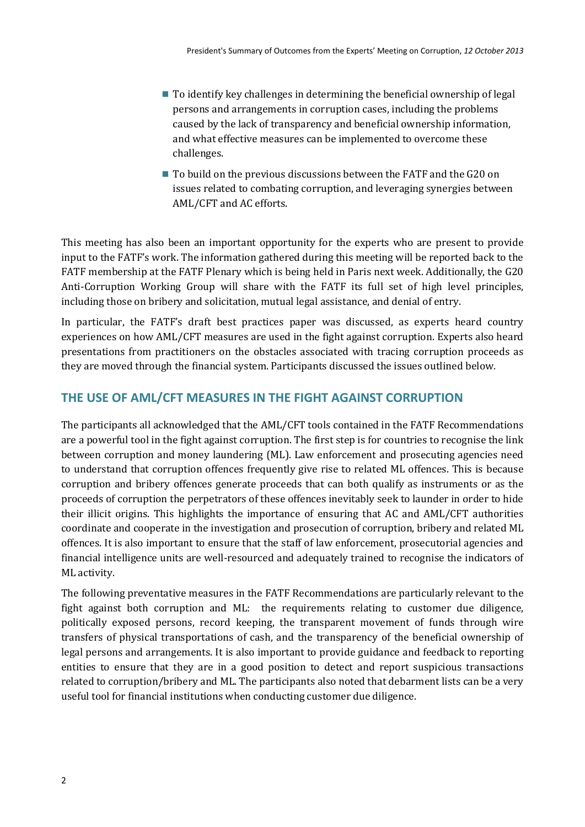- To identify key challenges in determining the beneficial ownership of legal persons and arrangements in corruption cases, including the problems caused by the lack of transparency and beneficial ownership information, and what effective measures can be implemented to overcome these challenges.
- To build on the previous discussions between the FATF and the G20 on issues related to combating corruption, and leveraging synergies between AML/CFT and AC efforts.

This meeting has also been an important opportunity for the experts who are present to provide input to the FATF's work. The information gathered during this meeting will be reported back to the FATF membership at the FATF Plenary which is being held in Paris next week. Additionally, the G20 Anti-Corruption Working Group will share with the FATF its full set of high level principles, including those on bribery and solicitation, mutual legal assistance, and denial of entry.

In particular, the FATF's draft best practices paper was discussed, as experts heard country experiences on how AML/CFT measures are used in the fight against corruption. Experts also heard presentations from practitioners on the obstacles associated with tracing corruption proceeds as they are moved through the financial system. Participants discussed the issues outlined below.

# **THE USE OF AML/CFT MEASURES IN THE FIGHT AGAINST CORRUPTION**

The participants all acknowledged that the AML/CFT tools contained in the FATF Recommendations are a powerful tool in the fight against corruption. The first step is for countries to recognise the link between corruption and money laundering (ML). Law enforcement and prosecuting agencies need to understand that corruption offences frequently give rise to related ML offences. This is because corruption and bribery offences generate proceeds that can both qualify as instruments or as the proceeds of corruption the perpetrators of these offences inevitably seek to launder in order to hide their illicit origins. This highlights the importance of ensuring that AC and AML/CFT authorities coordinate and cooperate in the investigation and prosecution of corruption, bribery and related ML offences. It is also important to ensure that the staff of law enforcement, prosecutorial agencies and financial intelligence units are well-resourced and adequately trained to recognise the indicators of ML activity.

The following preventative measures in the FATF Recommendations are particularly relevant to the fight against both corruption and ML: the requirements relating to customer due diligence, politically exposed persons, record keeping, the transparent movement of funds through wire transfers of physical transportations of cash, and the transparency of the beneficial ownership of legal persons and arrangements. It is also important to provide guidance and feedback to reporting entities to ensure that they are in a good position to detect and report suspicious transactions related to corruption/bribery and ML. The participants also noted that debarment lists can be a very useful tool for financial institutions when conducting customer due diligence.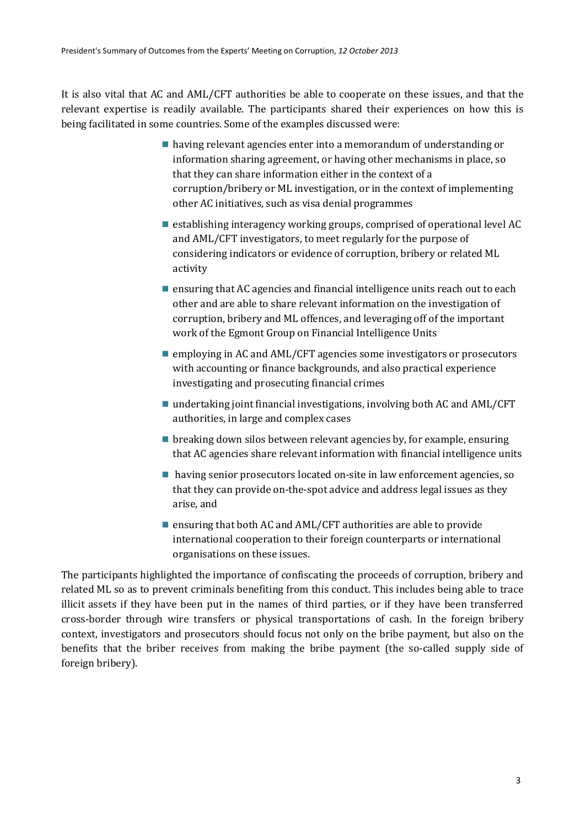It is also vital that AC and AML/CFT authorities be able to cooperate on these issues, and that the relevant expertise is readily available. The participants shared their experiences on how this is being facilitated in some countries. Some of the examples discussed were:

- having relevant agencies enter into a memorandum of understanding or information sharing agreement, or having other mechanisms in place, so that they can share information either in the context of a corruption/bribery or ML investigation, or in the context of implementing other AC initiatives, such as visa denial programmes
- $\blacksquare$  establishing interagency working groups, comprised of operational level AC and AML/CFT investigators, to meet regularly for the purpose of considering indicators or evidence of corruption, bribery or related ML activity
- $\blacksquare$  ensuring that AC agencies and financial intelligence units reach out to each other and are able to share relevant information on the investigation of corruption, bribery and ML offences, and leveraging off of the important work of the Egmont Group on Financial Intelligence Units
- employing in AC and AML/CFT agencies some investigators or prosecutors with accounting or finance backgrounds, and also practical experience investigating and prosecuting financial crimes
- undertaking joint financial investigations, involving both AC and  $AML/CFT$ authorities, in large and complex cases
- $\blacksquare$  breaking down silos between relevant agencies by, for example, ensuring that AC agencies share relevant information with financial intelligence units
- having senior prosecutors located on-site in law enforcement agencies, so that they can provide on-the-spot advice and address legal issues as they arise, and
- ensuring that both AC and AML/CFT authorities are able to provide international cooperation to their foreign counterparts or international organisations on these issues.

The participants highlighted the importance of confiscating the proceeds of corruption, bribery and related ML so as to prevent criminals benefiting from this conduct. This includes being able to trace illicit assets if they have been put in the names of third parties, or if they have been transferred cross-border through wire transfers or physical transportations of cash. In the foreign bribery context, investigators and prosecutors should focus not only on the bribe payment, but also on the benefits that the briber receives from making the bribe payment (the so-called supply side of foreign bribery).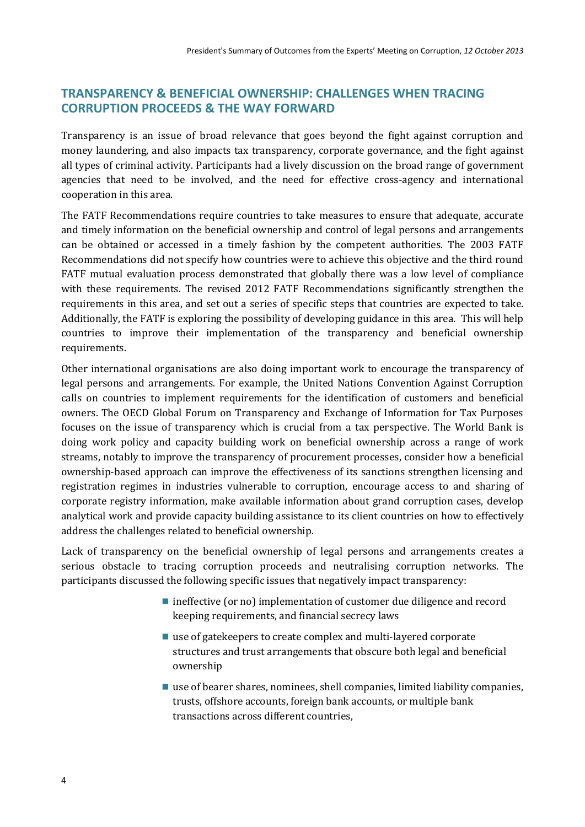## **TRANSPARENCY & BENEFICIAL OWNERSHIP: CHALLENGES WHEN TRACING CORRUPTION PROCEEDS & THE WAY FORWARD**

Transparency is an issue of broad relevance that goes beyond the fight against corruption and money laundering, and also impacts tax transparency, corporate governance, and the fight against all types of criminal activity. Participants had a lively discussion on the broad range of government agencies that need to be involved, and the need for effective cross-agency and international cooperation in this area.

The FATF Recommendations require countries to take measures to ensure that adequate, accurate and timely information on the beneficial ownership and control of legal persons and arrangements can be obtained or accessed in a timely fashion by the competent authorities. The 2003 FATF Recommendations did not specify how countries were to achieve this objective and the third round FATF mutual evaluation process demonstrated that globally there was a low level of compliance with these requirements. The revised 2012 FATF Recommendations significantly strengthen the requirements in this area, and set out a series of specific steps that countries are expected to take. Additionally, the FATF is exploring the possibility of developing guidance in this area. This will help countries to improve their implementation of the transparency and beneficial ownership requirements.

Other international organisations are also doing important work to encourage the transparency of legal persons and arrangements. For example, the United Nations Convention Against Corruption calls on countries to implement requirements for the identification of customers and beneficial owners. The OECD Global Forum on Transparency and Exchange of Information for Tax Purposes focuses on the issue of transparency which is crucial from a tax perspective. The World Bank is doing work policy and capacity building work on beneficial ownership across a range of work streams, notably to improve the transparency of procurement processes, consider how a beneficial ownership-based approach can improve the effectiveness of its sanctions strengthen licensing and registration regimes in industries vulnerable to corruption, encourage access to and sharing of corporate registry information, make available information about grand corruption cases, develop analytical work and provide capacity building assistance to its client countries on how to effectively address the challenges related to beneficial ownership.

Lack of transparency on the beneficial ownership of legal persons and arrangements creates a serious obstacle to tracing corruption proceeds and neutralising corruption networks. The participants discussed the following specific issues that negatively impact transparency:

- $\blacksquare$  ineffective (or no) implementation of customer due diligence and record keeping requirements, and financial secrecy laws
- use of gatekeepers to create complex and multi-layered corporate structures and trust arrangements that obscure both legal and beneficial ownership
- use of bearer shares, nominees, shell companies, limited liability companies, trusts, offshore accounts, foreign bank accounts, or multiple bank transactions across different countries,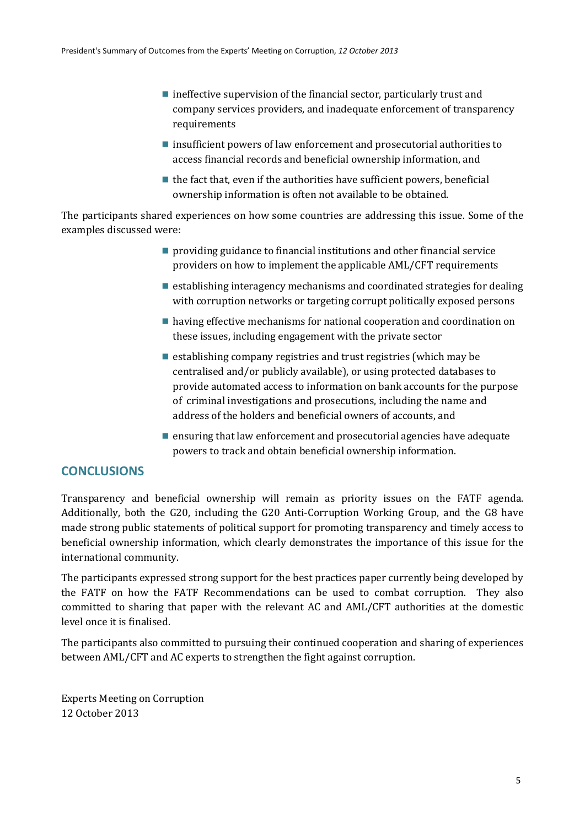- $\blacksquare$  ineffective supervision of the financial sector, particularly trust and company services providers, and inadequate enforcement of transparency requirements
- insufficient powers of law enforcement and prosecutorial authorities to access financial records and beneficial ownership information, and
- $\blacksquare$  the fact that, even if the authorities have sufficient powers, beneficial ownership information is often not available to be obtained.

The participants shared experiences on how some countries are addressing this issue. Some of the examples discussed were:

- $\blacksquare$  providing guidance to financial institutions and other financial service providers on how to implement the applicable AML/CFT requirements
- $\blacksquare$  establishing interagency mechanisms and coordinated strategies for dealing with corruption networks or targeting corrupt politically exposed persons
- having effective mechanisms for national cooperation and coordination on these issues, including engagement with the private sector
- $\blacksquare$  establishing company registries and trust registries (which may be centralised and/or publicly available), or using protected databases to provide automated access to information on bank accounts for the purpose of criminal investigations and prosecutions, including the name and address of the holders and beneficial owners of accounts, and
- $\blacksquare$  ensuring that law enforcement and prosecutorial agencies have adequate powers to track and obtain beneficial ownership information.

#### **CONCLUSIONS**

Transparency and beneficial ownership will remain as priority issues on the FATF agenda. Additionally, both the G20, including the G20 Anti-Corruption Working Group, and the G8 have made strong public statements of political support for promoting transparency and timely access to beneficial ownership information, which clearly demonstrates the importance of this issue for the international community.

The participants expressed strong support for the best practices paper currently being developed by the FATF on how the FATF Recommendations can be used to combat corruption. They also committed to sharing that paper with the relevant AC and AML/CFT authorities at the domestic level once it is finalised.

The participants also committed to pursuing their continued cooperation and sharing of experiences between AML/CFT and AC experts to strengthen the fight against corruption.

Experts Meeting on Corruption 12 October 2013